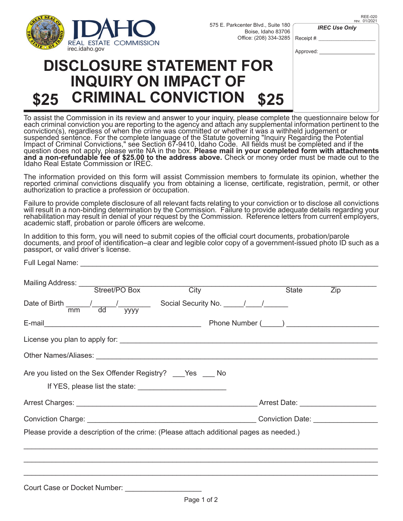

Receipt #: Boise, Idaho 83706 Office: (208) 334-3285

*IREC Use Only*

| <b>IREC USE ONly</b> |  |
|----------------------|--|
|                      |  |

Approved:

## **INQUIRY ON IMPACT OF \$25 CRIMINAL CONVICTION \$25**

To assist the Commission in its review and answer to your inquiry, please complete the questionnaire below for each criminal conviction you are reporting to the agency and attach any supplemental information pertinent to the conviction(s), regardless of when the crime was committed or whether it was a withheld judgement or suspended sentence. For the complete language of the Statute governing "Inquiry Regarding the Potential Impact of Criminal Convictions," see Section 67-9410, Idaho Code. All fields must be completed and if the<br>question does not apply, please write NA in the box. **Please mail in your completed form with attachments**<br>**and a n** 

The information provided on this form will assist Commission members to formulate its opinion, whether the reported criminal convictions disqualify you from obtaining a license, certificate, registration, permit, or other authorization to practice a profession or occupation.

Failure to provide complete disclosure of all relevant facts relating to your conviction or to disclose all convictions will result in a non-binding determination by the Commission. Failure to provide adequate details regarding your rehabilitation may result in denial of your request by the Commission. Reference letters from current employers, academic staff, probation or parole officers are welcome.

| In addition to this form, you will need to submit copies of the official court documents, probation/parole      |  |
|-----------------------------------------------------------------------------------------------------------------|--|
| documents, and proof of identification–a clear and legible color copy of a government-issued photo ID such as a |  |
| passport, or valid driver's license.                                                                            |  |

|  | Mailing Address: Street/PO Box City                                                    | <b>State</b>                                 | Zip |
|--|----------------------------------------------------------------------------------------|----------------------------------------------|-----|
|  | Date of Birth $\frac{1}{m m}$ $\frac{1}{d d}$ yyyy Social Security No. $\frac{1}{d}$   |                                              |     |
|  |                                                                                        |                                              |     |
|  |                                                                                        |                                              |     |
|  |                                                                                        |                                              |     |
|  |                                                                                        |                                              |     |
|  | Are you listed on the Sex Offender Registry? ____ Yes ____ No                          |                                              |     |
|  |                                                                                        | Arrest Date: <u>Campaign Arrest Assembly</u> |     |
|  |                                                                                        |                                              |     |
|  | Please provide a description of the crime: (Please attach additional pages as needed.) |                                              |     |
|  |                                                                                        |                                              |     |

Court Case or Docket Number: